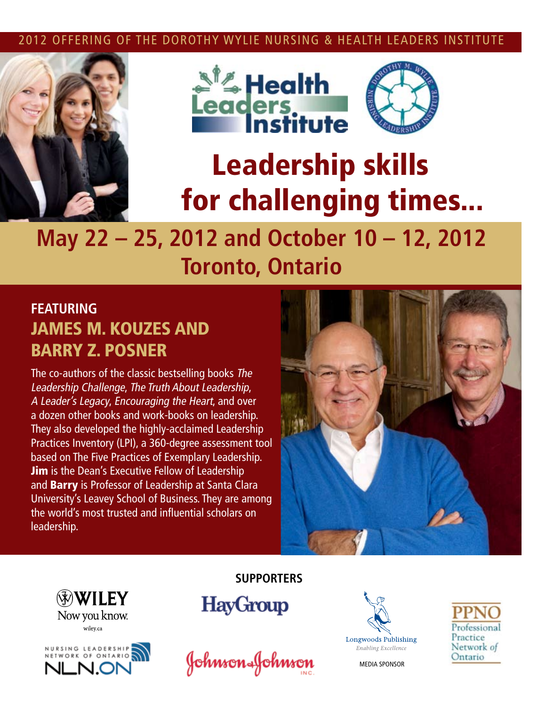#### 2012 OFFERING OF THE DOROTHY WYLIE NURSING & HEALTH LEADERS INSTITUTE







# Leadership skills for challenging times...

## **May 22 – 25, 2012 and October 10 – 12, 2012 Toronto, Ontario**

### **Featuring**  JAMES M. Kouzes and Barry Z. Posner

The co-authors of the classic bestselling books The Leadership Challenge, The Truth About Leadership, A Leader's Legacy, Encouraging the Heart, and over a dozen other books and work-books on leadership. They also developed the highly-acclaimed Leadership Practices Inventory (LPI), a 360-degree assessment tool based on The Five Practices of Exemplary Leadership. **Jim** is the Dean's Executive Fellow of Leadership and **Barry** is Professor of Leadership at Santa Clara University's Leavey School of Business. They are among the world's most trusted and influential scholars on leadership.







**SUPPORTErs**

**HayGroup** 





MEDIA SPONSOR

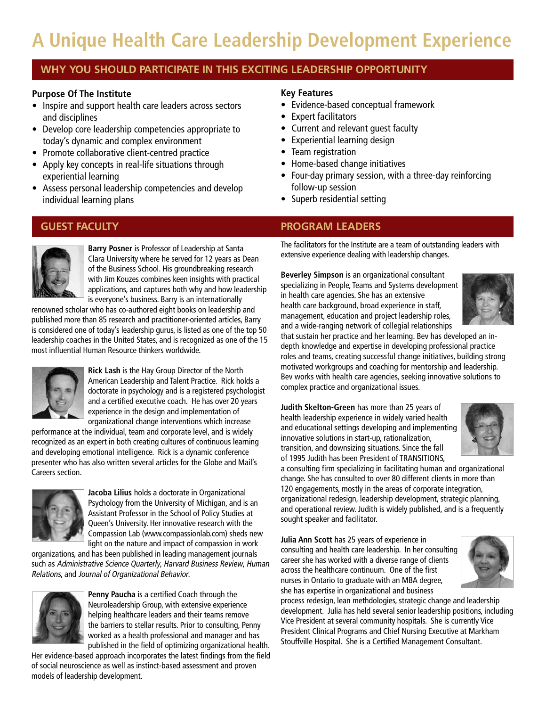### **A Unique Health Care Leadership Development Experience**

#### **WHY YOU SHOULD PARTICIPATE IN THIS EXCITING LEADERSHIP OPPORTUNITY**

#### **Purpose Of The Institute**

- Inspire and support health care leaders across sectors and disciplines
- Develop core leadership competencies appropriate to today's dynamic and complex environment
- Promote collaborative client-centred practice
- Apply key concepts in real-life situations through experiential learning
- Assess personal leadership competencies and develop individual learning plans



**Barry Posner** is Professor of Leadership at Santa Clara University where he served for 12 years as Dean of the Business School. His groundbreaking research with Jim Kouzes combines keen insights with practical applications, and captures both why and how leadership is everyone's business. Barry is an internationally

renowned scholar who has co-authored eight books on leadership and published more than 85 research and practitioner-oriented articles, Barry is considered one of today's leadership gurus, is listed as one of the top 50 leadership coaches in the United States, and is recognized as one of the 15 most influential Human Resource thinkers worldwide.



**Rick Lash** is the Hay Group Director of the North American Leadership and Talent Practice. Rick holds a doctorate in psychology and is a registered psychologist and a certified executive coach. He has over 20 years experience in the design and implementation of organizational change interventions which increase

performance at the individual, team and corporate level, and is widely recognized as an expert in both creating cultures of continuous learning and developing emotional intelligence. Rick is a dynamic conference presenter who has also written several articles for the Globe and Mail's Careers section.



**Jacoba Lilius** holds a doctorate in Organizational Psychology from the University of Michigan, and is an Assistant Professor in the School of Policy Studies at Queen's University. Her innovative research with the Compassion Lab (www.compassionlab.com) sheds new light on the nature and impact of compassion in work

organizations, and has been published in leading management journals such as Administrative Science Quarterly, Harvard Business Review, Human Relations, and Journal of Organizational Behavior.



**Penny Paucha** is a certified Coach through the Neuroleadership Group, with extensive experience helping healthcare leaders and their teams remove the barriers to stellar results. Prior to consulting, Penny worked as a health professional and manager and has published in the field of optimizing organizational health.

Her evidence-based approach incorporates the latest findings from the field of social neuroscience as well as instinct-based assessment and proven models of leadership development.

#### **Key Features**

- • Evidence-based conceptual framework
- Expert facilitators
- Current and relevant quest faculty
- Experiential learning design
- Team registration
- Home-based change initiatives
- Four-day primary session, with a three-day reinforcing follow-up session
- Superb residential setting

#### **GUEST FACULTY PROGRAM LEADERS**

The facilitators for the Institute are a team of outstanding leaders with extensive experience dealing with leadership changes.

**Beverley Simpson** is an organizational consultant specializing in People, Teams and Systems development in health care agencies. She has an extensive health care background, broad experience in staff, management, education and project leadership roles, and a wide-ranging network of collegial relationships



that sustain her practice and her learning. Bev has developed an indepth knowledge and expertise in developing professional practice roles and teams, creating successful change initiatives, building strong motivated workgroups and coaching for mentorship and leadership. Bev works with health care agencies, seeking innovative solutions to complex practice and organizational issues.

**Judith Skelton-Green** has more than 25 years of health leadership experience in widely varied health and educational settings developing and implementing innovative solutions in start-up, rationalization, transition, and downsizing situations. Since the fall of 1995 Judith has been President of TRANSITIONS,



a consulting firm specializing in facilitating human and organizational change. She has consulted to over 80 different clients in more than 120 engagements, mostly in the areas of corporate integration, organizational redesign, leadership development, strategic planning, and operational review. Judith is widely published, and is a frequently sought speaker and facilitator.

**Julia Ann Scott** has 25 years of experience in consulting and health care leadership. In her consulting career she has worked with a diverse range of clients across the healthcare continuum. One of the first nurses in Ontario to graduate with an MBA degree, she has expertise in organizational and business

process redesign, lean methdologies, strategic change and leadership development. Julia has held several senior leadership positions, including Vice President at several community hospitals. She is currently Vice President Clinical Programs and Chief Nursing Executive at Markham Stouffville Hospital. She is a Certified Management Consultant.

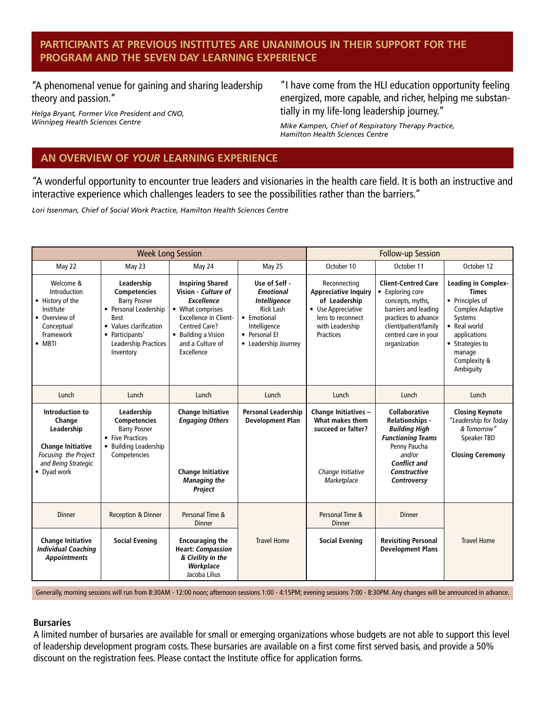#### **Participants at previous Institutes are unanimous in their support for the program and the seven day learning experience**

"A phenomenal venue for gaining and sharing leadership theory and passion."

*Helga Bryant, Former Vice President and CNO, Winnipeg Health Sciences Centre*

"I have come from the HLI education opportunity feeling energized, more capable, and richer, helping me substantially in my life-long leadership journey."

*Mike Kampen, Chief of Respiratory Therapy Practice, Hamilton Health Sciences Centre*

#### **AN OVERVIEW OF** *YOUR* **LEARNING EXPERIENCE**

"A wonderful opportunity to encounter true leaders and visionaries in the health care field. It is both an instructive and interactive experience which challenges leaders to see the possibilities rather than the barriers."

*Lori Issenman, Chief of Social Work Practice, Hamilton Health Sciences Centre*

| <b>Week Long Session</b>                                                                                                          |                                                                                                                                                                                    |                                                                                                                                                                                                          |                                                                                                                                                      | <b>Follow-up Session</b>                                                                                                                |                                                                                                                                                                                           |                                                                                                                                                                                               |
|-----------------------------------------------------------------------------------------------------------------------------------|------------------------------------------------------------------------------------------------------------------------------------------------------------------------------------|----------------------------------------------------------------------------------------------------------------------------------------------------------------------------------------------------------|------------------------------------------------------------------------------------------------------------------------------------------------------|-----------------------------------------------------------------------------------------------------------------------------------------|-------------------------------------------------------------------------------------------------------------------------------------------------------------------------------------------|-----------------------------------------------------------------------------------------------------------------------------------------------------------------------------------------------|
| May 22                                                                                                                            | May 23                                                                                                                                                                             | May 24                                                                                                                                                                                                   | May 25                                                                                                                                               | October 10                                                                                                                              | October 11                                                                                                                                                                                | October 12                                                                                                                                                                                    |
| Welcome &<br>Introduction<br>• History of the<br>Institute<br>• Overview of<br>Conceptual<br>Framework<br>$\bullet$ MBTI          | Leadership<br><b>Competencies</b><br><b>Barry Posner</b><br>• Personal Leadership<br><b>Best</b><br>• Values clarification<br>• Participants'<br>Leadership Practices<br>Inventory | <b>Inspiring Shared</b><br>Vision - Culture of<br><b>Excellence</b><br>• What comprises<br><b>Excellence in Client-</b><br><b>Centred Care?</b><br>• Building a Vision<br>and a Culture of<br>Excellence | Use of Self -<br><b>Emotional</b><br><b>Intelligence</b><br><b>Rick Lash</b><br>• Emotional<br>Intelligence<br>• Personal El<br>• Leadership Journey | Reconnecting<br><b>Appreciative Inquiry</b><br>of Leadership<br>• Use Appreciative<br>lens to reconnect<br>with Leadership<br>Practices | <b>Client-Centred Care</b><br>• Exploring core<br>concepts, myths,<br>barriers and leading<br>practices to advance<br>client/patient/family<br>centred care in your<br>organization       | <b>Leading in Complex-</b><br><b>Times</b><br>• Principles of<br><b>Complex Adaptive</b><br>Systems<br>• Real world<br>applications<br>• Strategies to<br>manage<br>Complexity &<br>Ambiguity |
| Lunch                                                                                                                             | Lunch                                                                                                                                                                              | Lunch                                                                                                                                                                                                    | Lunch                                                                                                                                                | Lunch                                                                                                                                   | Lunch                                                                                                                                                                                     | Lunch                                                                                                                                                                                         |
| Introduction to<br>Change<br>Leadership<br><b>Change Initiative</b><br>Focusing the Project<br>and Being Strategic<br>• Dyad work | Leadership<br>Competencies<br><b>Barry Posner</b><br>• Five Practices<br>• Building Leadership<br>Competencies                                                                     | <b>Change Initiative</b><br><b>Engaging Others</b><br><b>Change Initiative</b><br><b>Managing the</b><br>Project                                                                                         | <b>Personal Leadership</b><br><b>Development Plan</b>                                                                                                | Change Initiatives -<br>What makes them<br>succeed or falter?<br>Change Initiative<br>Marketplace                                       | <b>Collaborative</b><br><b>Relationships -</b><br><b>Building High</b><br><b>Functioning Teams</b><br>Penny Paucha<br>and/or<br><b>Conflict and</b><br><b>Constructive</b><br>Controversy | <b>Closing Keynote</b><br>"Leadership for Today<br>& Tomorrow"<br>Speaker TBD<br><b>Closing Ceremony</b>                                                                                      |
| <b>Dinner</b>                                                                                                                     | <b>Reception &amp; Dinner</b>                                                                                                                                                      | Personal Time &<br><b>Dinner</b>                                                                                                                                                                         |                                                                                                                                                      | Personal Time &<br><b>Dinner</b>                                                                                                        | <b>Dinner</b>                                                                                                                                                                             |                                                                                                                                                                                               |
| <b>Change Initiative</b><br><b>Individual Coaching</b><br><b>Appointments</b>                                                     | <b>Social Evening</b>                                                                                                                                                              | <b>Encouraging the</b><br><b>Heart: Compassion</b><br>& Civility in the<br>Workplace<br>Jacoba Lilius                                                                                                    | <b>Travel Home</b>                                                                                                                                   | <b>Social Evening</b>                                                                                                                   | <b>Revisiting Personal</b><br><b>Development Plans</b>                                                                                                                                    | <b>Travel Home</b>                                                                                                                                                                            |

Generally, morning sessions will run from 8:30AM - 12:00 noon; afternoon sessions 1:00 - 4:15PM; evening sessions 7:00 - 8:30PM. Any changes will be announced in advance.

#### **Bursaries**

A limited number of bursaries are available for small or emerging organizations whose budgets are not able to support this level of leadership development program costs. These bursaries are available on a first come first served basis, and provide a 50% discount on the registration fees. Please contact the Institute office for application forms.